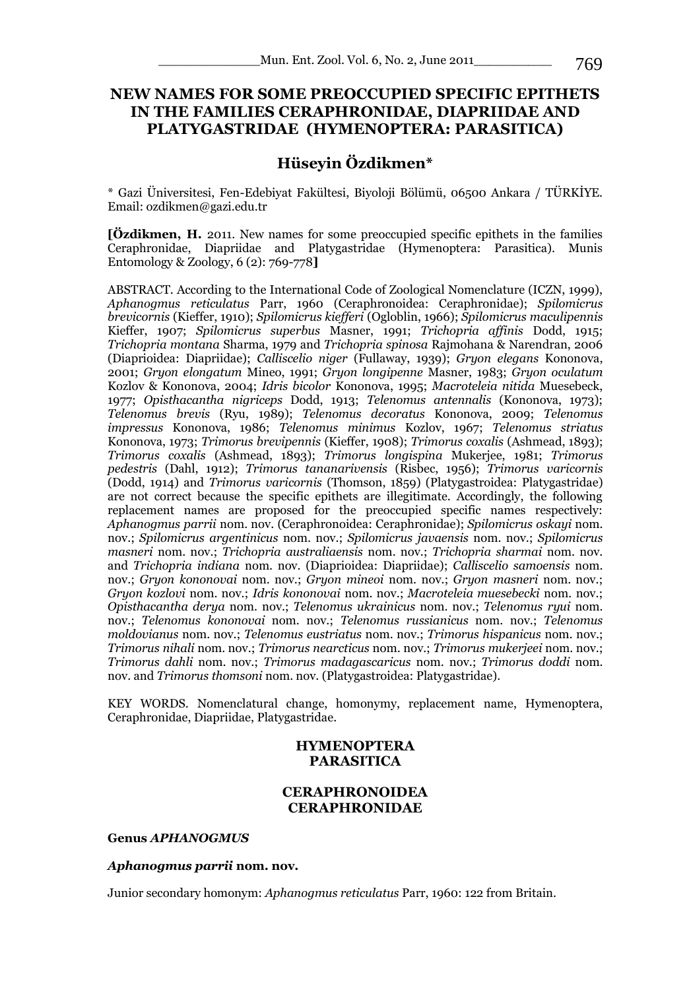# **NEW NAMES FOR SOME PREOCCUPIED SPECIFIC EPITHETS IN THE FAMILIES [CERAPHRONIDAE,](http://hol.osu.edu/index.html?id=90) [DIAPRIIDAE](http://hol.osu.edu/index.html?id=99) AND [PLATYGASTRIDAE](http://hol.osu.edu/index.html?id=13712) (HYMENOPTERA: PARASITICA)**

# **Hüseyin Özdikmen\***

\* Gazi Üniversitesi, Fen-Edebiyat Fakültesi, Biyoloji Bölümü, 06500 Ankara / TÜRKİYE. Email: ozdikmen@gazi.edu.tr

**[Özdikmen, H.** 2011. New names for some preoccupied specific epithets in the families Ceraphronidae, Diapriidae and Platygastridae (Hymenoptera: Parasitica). Munis Entomology & Zoology, 6 (2): 769-778**]**

ABSTRACT. According to the International Code of Zoological Nomenclature (ICZN, 1999), *Aphanogmus reticulatus* Parr, 1960 [\(Ceraphronoidea:](http://hol.osu.edu/index.html?id=61) [Ceraphronidae\)](http://hol.osu.edu/index.html?id=90); *Spilomicrus brevicornis* (Kieffer, 1910); *Spilomicrus kiefferi* (Ogloblin, 1966); *Spilomicrus maculipennis*  Kieffer, 1907; *Spilomicrus superbus* Masner, 1991; *Trichopria affinis* Dodd, 1915; *Trichopria montana* Sharma, 1979 and *Trichopria spinosa* Rajmohana & Narendran, 2006 [\(Diaprioidea:](http://hol.osu.edu/index.html?id=13701) [Diapriidae\)](http://hol.osu.edu/index.html?id=99); *Calliscelio niger* (Fullaway, 1939); *Gryon elegans* Kononova, 2001; *Gryon elongatum* Mineo, 1991; *Gryon longipenne* Masner, 1983; *Gryon oculatum*  Kozlov & Kononova, 2004; *Idris bicolor* Kononova, 1995; *Macroteleia nitida* Muesebeck, 1977; *[Opisthacantha](http://hol.osu.edu/index.html?id=461) nigriceps* Dodd, 1913; *[Telenomus](http://hol.osu.edu/index.html?id=461) antennalis* (Kononova, 1973); *[Telenomus](http://hol.osu.edu/index.html?id=461) brevis* (Ryu, 1989); *[Telenomus](http://hol.osu.edu/index.html?id=461) decoratus* Kononova, 2009; *[Telenomus](http://hol.osu.edu/index.html?id=461) impressus* Kononova, 1986; *[Telenomus](http://hol.osu.edu/index.html?id=461) minimus* Kozlov, 1967; *[Telenomus](http://hol.osu.edu/index.html?id=461) striatus*  Kononova, 1973; *[Trimorus](http://hol.osu.edu/index.html?id=461) brevipennis* (Kieffer, 1908); *[Trimorus](http://hol.osu.edu/index.html?id=461) coxalis* (Ashmead, 1893); *[Trimorus](http://hol.osu.edu/index.html?id=461) coxalis* (Ashmead, 1893); *Trimorus longispina* Mukerjee, 1981; *Trimorus pedestris* (Dahl, 1912); *Trimorus tananarivensis* (Risbec, 1956); *Trimorus varicornis*  (Dodd, 1914) and *Trimorus varicornis* (Thomson, 1859) [\(Platygastroidea:](http://hol.osu.edu/index.html?id=195000) [Platygastridae\)](http://hol.osu.edu/index.html?id=13712) are not correct because the specific epithets are illegitimate. Accordingly, the following replacement names are proposed for the preoccupied specific names respectively: *Aphanogmus parrii* nom. nov. [\(Ceraphronoidea:](http://hol.osu.edu/index.html?id=61) [Ceraphronidae\)](http://hol.osu.edu/index.html?id=90); *Spilomicrus oskayi* nom. nov.; *Spilomicrus argentinicus* nom. nov.; *Spilomicrus javaensis* nom. nov.; *Spilomicrus masneri* nom. nov.; *Trichopria australiaensis* nom. nov.; *Trichopria sharmai* nom. nov. and *Trichopria indiana* nom. nov. [\(Diaprioidea:](http://hol.osu.edu/index.html?id=13701) [Diapriidae\)](http://hol.osu.edu/index.html?id=99); *Calliscelio samoensis* nom. nov.; *Gryon kononovai* nom. nov.; *Gryon mineoi* nom. nov.; *Gryon masneri* nom. nov.; *Gryon kozlovi* nom. nov.; *Idris kononovai* nom. nov.; *Macroteleia muesebecki* nom. nov.; *[Opisthacantha](http://hol.osu.edu/index.html?id=461) derya* nom. nov.; *[Telenomus](http://hol.osu.edu/index.html?id=461) ukrainicus* nom. nov.; *[Telenomus](http://hol.osu.edu/index.html?id=461) ryui* nom. nov.; *[Telenomus](http://hol.osu.edu/index.html?id=461) kononovai* nom. nov.; *[Telenomus](http://hol.osu.edu/index.html?id=461) russianicus* nom. nov.; *[Telenomus](http://hol.osu.edu/index.html?id=461) moldovianus* nom. nov.; *[Telenomus](http://hol.osu.edu/index.html?id=461) eustriatus* nom. nov.; *[Trimorus](http://hol.osu.edu/index.html?id=461) hispanicus* nom. nov.; *[Trimorus](http://hol.osu.edu/index.html?id=461) nihali* nom. nov.; *[Trimorus](http://hol.osu.edu/index.html?id=461) nearcticus* nom. nov.; *Trimorus mukerjeei* nom. nov.; *Trimorus dahli* nom. nov.; *Trimorus madagascaricus* nom. nov.; *Trimorus doddi* nom. nov. and *Trimorus thomsoni* nom. nov. [\(Platygastroidea:](http://hol.osu.edu/index.html?id=195000) [Platygastridae\)](http://hol.osu.edu/index.html?id=13712).

KEY WORDS. Nomenclatural change, homonymy, replacement name, Hymenoptera, Ceraphronidae, Diapriidae, Platygastridae.

# **[HYMENOPTERA](http://hol.osu.edu/index.html?id=52) PARASITICA**

# **[CERAPHRONOIDEA](http://hol.osu.edu/index.html?id=61) [CERAPHRONIDAE](http://hol.osu.edu/index.html?id=90)**

### **Genus** *APHANOGMUS*

#### *Aphanogmus parrii* **nom. nov.**

Junior secondary homonym: *Aphanogmus reticulatus* Parr, 1960: 122 from Britain.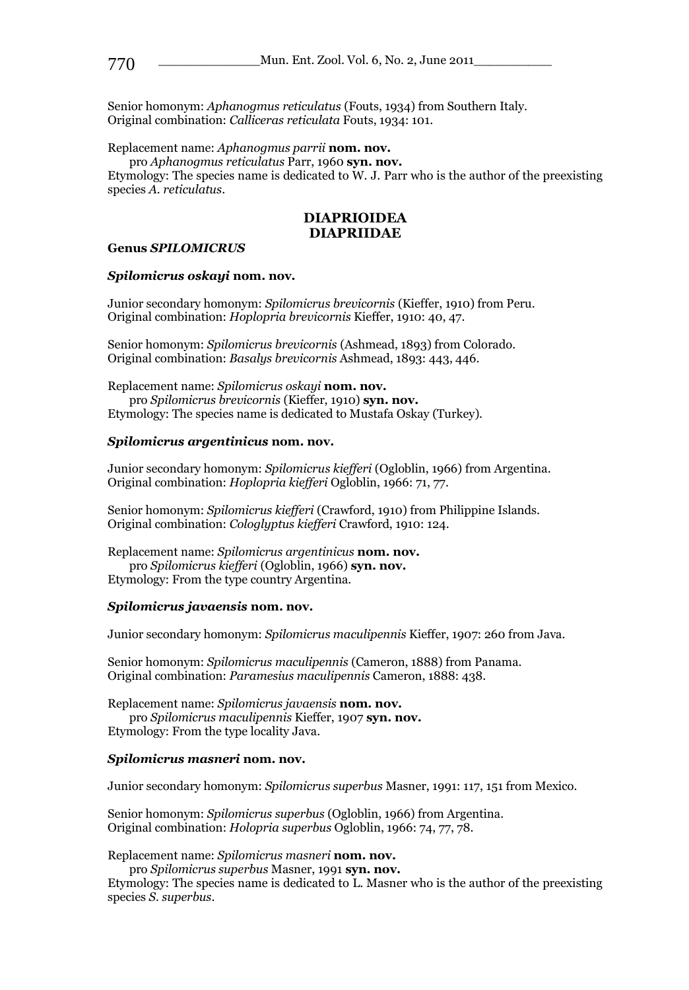Senior homonym: *Aphanogmus reticulatus* (Fouts, 1934) from Southern Italy. Original combination: *Calliceras reticulata* Fouts, 1934: 101.

Replacement name: *Aphanogmus parrii* **nom. nov.**

pro *Aphanogmus reticulatus* Parr, 1960 **syn. nov.**

Etymology: The species name is dedicated to W. J. Parr who is the author of the preexisting species *A. reticulatus*.

#### **[DIAPRIOIDEA](http://hol.osu.edu/index.html?id=13701) [DIAPRIIDAE](http://hol.osu.edu/index.html?id=99)**

#### **Genus** *SPILOMICRUS*

#### *Spilomicrus oskayi* **nom. nov.**

Junior secondary homonym: *Spilomicrus brevicornis* (Kieffer, 1910) from Peru. Original combination: *Hoplopria brevicornis* Kieffer, 1910: 40, 47.

Senior homonym: *Spilomicrus brevicornis* (Ashmead, 1893) from Colorado. Original combination: *Basalys brevicornis* Ashmead, 1893: 443, 446.

Replacement name: *Spilomicrus oskayi* **nom. nov.** pro *Spilomicrus brevicornis* (Kieffer, 1910) **syn. nov.** Etymology: The species name is dedicated to Mustafa Oskay (Turkey).

#### *Spilomicrus argentinicus* **nom. nov.**

Junior secondary homonym: *Spilomicrus kiefferi* (Ogloblin, 1966) from Argentina. Original combination: *Hoplopria kiefferi* Ogloblin, 1966: 71, 77.

Senior homonym: *Spilomicrus kiefferi* (Crawford, 1910) from Philippine Islands. Original combination: *Cologlyptus kiefferi* Crawford, 1910: 124.

Replacement name: *Spilomicrus argentinicus* **nom. nov.** pro *Spilomicrus kiefferi* (Ogloblin, 1966) **syn. nov.** Etymology: From the type country Argentina.

#### *Spilomicrus javaensis* **nom. nov.**

Junior secondary homonym: *Spilomicrus maculipennis* Kieffer, 1907: 260 from Java.

Senior homonym: *Spilomicrus maculipennis* (Cameron, 1888) from Panama. Original combination: *Paramesius maculipennis* Cameron, 1888: 438.

Replacement name: *Spilomicrus javaensis* **nom. nov.** pro *Spilomicrus maculipennis* Kieffer, 1907 **syn. nov.** Etymology: From the type locality Java.

#### *Spilomicrus masneri* **nom. nov.**

Junior secondary homonym: *Spilomicrus superbus* Masner, 1991: 117, 151 from Mexico.

Senior homonym: *Spilomicrus superbus* (Ogloblin, 1966) from Argentina. Original combination: *Holopria superbus* Ogloblin, 1966: 74, 77, 78.

Replacement name: *Spilomicrus masneri* **nom. nov.**

pro *Spilomicrus superbus* Masner, 1991 **syn. nov.**

Etymology: The species name is dedicated to L. Masner who is the author of the preexisting species *S. superbus*.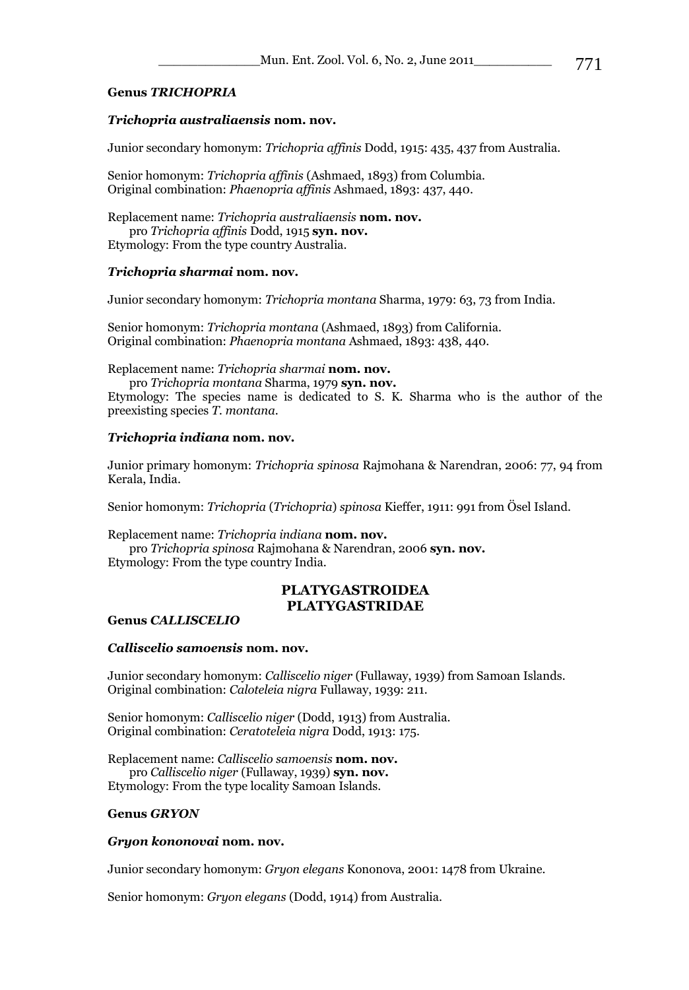## **Genus** *TRICHOPRIA*

### *Trichopria australiaensis* **nom. nov.**

Junior secondary homonym: *Trichopria affinis* Dodd, 1915: 435, 437 from Australia.

Senior homonym: *Trichopria affinis* (Ashmaed, 1893) from Columbia. Original combination: *Phaenopria affinis* Ashmaed, 1893: 437, 440.

Replacement name: *Trichopria australiaensis* **nom. nov.** pro *Trichopria affinis* Dodd, 1915 **syn. nov.** Etymology: From the type country Australia.

## *Trichopria sharmai* **nom. nov.**

Junior secondary homonym: *Trichopria montana* Sharma, 1979: 63, 73 from India.

Senior homonym: *Trichopria montana* (Ashmaed, 1893) from California. Original combination: *Phaenopria montana* Ashmaed, 1893: 438, 440.

Replacement name: *Trichopria sharmai* **nom. nov.**

pro *Trichopria montana* Sharma, 1979 **syn. nov.**

Etymology: The species name is dedicated to S. K. Sharma who is the author of the preexisting species *T. montana*.

### *Trichopria indiana* **nom. nov.**

Junior primary homonym: *Trichopria spinosa* Rajmohana & Narendran, 2006: 77, 94 from Kerala, India.

Senior homonym: *Trichopria* (*Trichopria*) *spinosa* Kieffer, 1911: 991 from Ösel Island.

Replacement name: *Trichopria indiana* **nom. nov.**

pro *Trichopria spinosa* Rajmohana & Narendran, 2006 **syn. nov.** Etymology: From the type country India.

# **[PLATYGASTROIDEA](http://hol.osu.edu/index.html?id=195000) [PLATYGASTRIDAE](http://hol.osu.edu/index.html?id=13712)**

#### **Genus** *[CALLISCELIO](http://hol.osu.edu/index.html?id=461)*

#### *Calliscelio samoensis* **nom. nov.**

Junior secondary homonym: *Calliscelio niger* (Fullaway, 1939) from Samoan Islands. Original combination: *Caloteleia nigra* Fullaway, 1939: 211.

Senior homonym: *Calliscelio niger* (Dodd, 1913) from Australia. Original combination: *Ceratoteleia nigra* Dodd, 1913: 175.

Replacement name: *Calliscelio samoensis* **nom. nov.** pro *Calliscelio niger* (Fullaway, 1939) **syn. nov.** Etymology: From the type locality Samoan Islands.

## **Genus** *[GRYON](http://hol.osu.edu/index.html?id=461)*

#### *Gryon kononovai* **nom. nov.**

Junior secondary homonym: *Gryon elegans* Kononova, 2001: 1478 from Ukraine.

Senior homonym: *Gryon elegans* (Dodd, 1914) from Australia.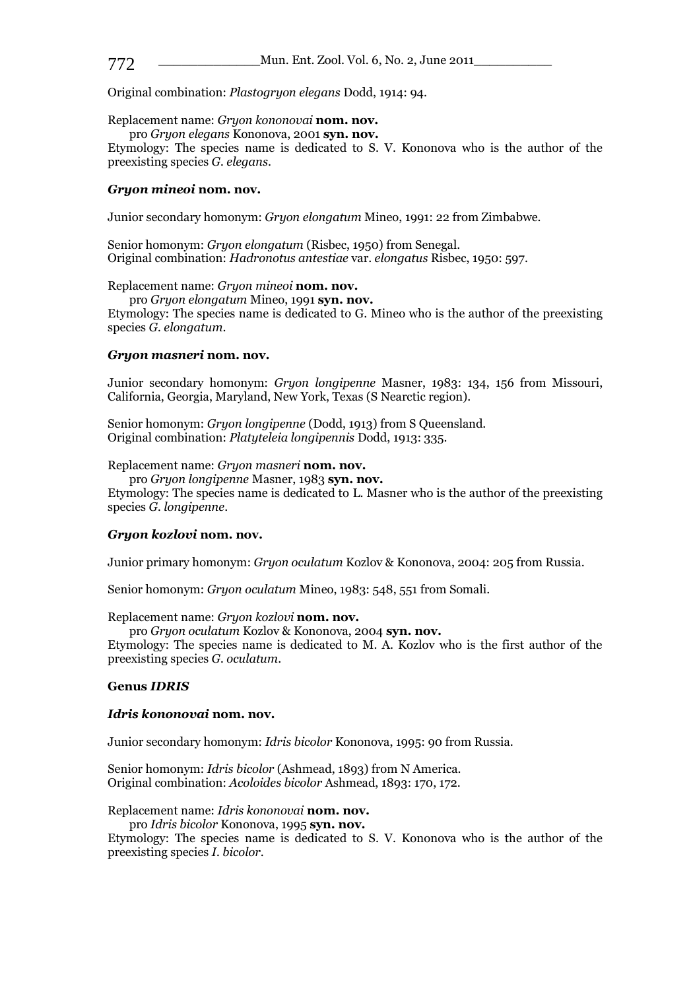Original combination: *Plastogryon elegans* Dodd, 1914: 94.

Replacement name: *Gryon kononovai* **nom. nov.**

pro *Gryon elegans* Kononova, 2001 **syn. nov.** Etymology: The species name is dedicated to S. V. Kononova who is the author of the preexisting species *G. elegans*.

#### *Gryon mineoi* **nom. nov.**

Junior secondary homonym: *Gryon elongatum* Mineo, 1991: 22 from Zimbabwe.

Senior homonym: *Gryon elongatum* (Risbec, 1950) from Senegal. Original combination: *Hadronotus antestiae* var. *elongatus* Risbec, 1950: 597.

Replacement name: *Gryon mineoi* **nom. nov.**

pro *Gryon elongatum* Mineo, 1991 **syn. nov.**

Etymology: The species name is dedicated to G. Mineo who is the author of the preexisting species *G. elongatum*.

#### *Gryon masneri* **nom. nov.**

Junior secondary homonym: *Gryon longipenne* Masner, 1983: 134, 156 from Missouri, California, Georgia, Maryland, New York, Texas (S Nearctic region).

Senior homonym: *Gryon longipenne* (Dodd, 1913) from S Queensland. Original combination: *Platyteleia longipennis* Dodd, 1913: 335.

Replacement name: *Gryon masneri* **nom. nov.**

pro *Gryon longipenne* Masner, 1983 **syn. nov.** Etymology: The species name is dedicated to L. Masner who is the author of the preexisting species *G. longipenne*.

#### *Gryon kozlovi* **nom. nov.**

Junior primary homonym: *Gryon oculatum* Kozlov & Kononova, 2004: 205 from Russia.

Senior homonym: *Gryon oculatum* Mineo, 1983: 548, 551 from Somali.

Replacement name: *Gryon kozlovi* **nom. nov.**

pro *Gryon oculatum* Kozlov & Kononova, 2004 **syn. nov.**

Etymology: The species name is dedicated to M. A. Kozlov who is the first author of the preexisting species *G. oculatum*.

### **Genus** *[IDRIS](http://hol.osu.edu/index.html?id=461)*

#### *Idris kononovai* **nom. nov.**

Junior secondary homonym: *Idris bicolor* Kononova, 1995: 90 from Russia.

Senior homonym: *Idris bicolor* (Ashmead, 1893) from N America. Original combination: *Acoloides bicolor* Ashmead, 1893: 170, 172.

Replacement name: *Idris kononovai* **nom. nov.**

pro *Idris bicolor* Kononova, 1995 **syn. nov.**

Etymology: The species name is dedicated to S. V. Kononova who is the author of the preexisting species *I. bicolor*.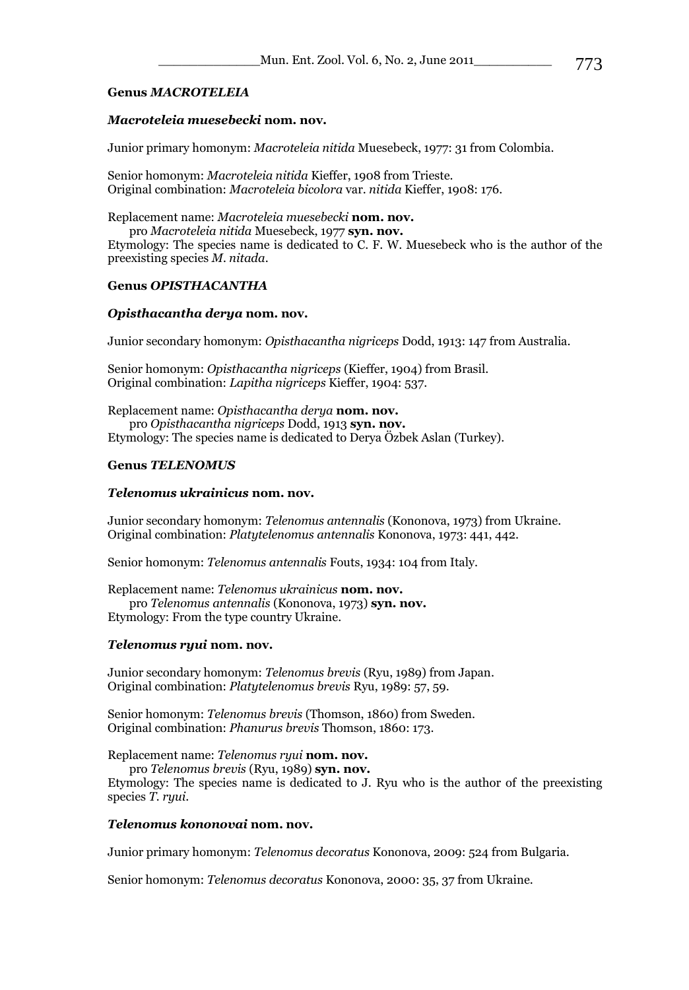## **Genus** *[MACROTELEIA](http://hol.osu.edu/index.html?id=461)*

# *Macroteleia muesebecki* **nom. nov.**

Junior primary homonym: *Macroteleia nitida* Muesebeck, 1977: 31 from Colombia.

Senior homonym: *Macroteleia nitida* Kieffer, 1908 from Trieste. Original combination: *Macroteleia bicolora* var. *nitida* Kieffer, 1908: 176.

Replacement name: *Macroteleia muesebecki* **nom. nov.**

pro *Macroteleia nitida* Muesebeck, 1977 **syn. nov.**

Etymology: The species name is dedicated to C. F. W. Muesebeck who is the author of the preexisting species *M. nitada*.

## **Genus** *[OPISTHACANTHA](http://hol.osu.edu/index.html?id=461)*

## *[Opisthacantha](http://hol.osu.edu/index.html?id=461) derya* **nom. nov.**

Junior secondary homonym: *[Opisthacantha](http://hol.osu.edu/index.html?id=461) nigriceps* Dodd, 1913: 147 from Australia.

Senior homonym: *[Opisthacantha](http://hol.osu.edu/index.html?id=461) nigriceps* (Kieffer, 1904) from Brasil. Original combination: *[Lapitha](http://hol.osu.edu/index.html?id=461) nigriceps* Kieffer, 1904: 537.

Replacement name: *[Opisthacantha](http://hol.osu.edu/index.html?id=461) derya* **nom. nov.** pro *[Opisthacantha](http://hol.osu.edu/index.html?id=461) nigriceps* Dodd, 1913 **syn. nov.** Etymology: The species name is dedicated to Derya Özbek Aslan (Turkey).

# **Genus** *[TELENOMUS](http://hol.osu.edu/index.html?id=461)*

### *[Telenomus](http://hol.osu.edu/index.html?id=461) ukrainicus* **nom. nov.**

Junior secondary homonym: *[Telenomus](http://hol.osu.edu/index.html?id=461) antennalis* (Kononova, 1973) from Ukraine. Original combination: *[Platytelenomus](http://hol.osu.edu/index.html?id=461) antennalis* Kononova, 1973: 441, 442.

Senior homonym: *[Telenomus](http://hol.osu.edu/index.html?id=461) antennalis* Fouts, 1934: 104 from Italy.

Replacement name: *[Telenomus](http://hol.osu.edu/index.html?id=461) ukrainicus* **nom. nov.** pro *[Telenomus](http://hol.osu.edu/index.html?id=461) antennalis* (Kononova, 1973) **syn. nov.** Etymology: From the type country Ukraine.

## *[Telenomus](http://hol.osu.edu/index.html?id=461) ryui* **nom. nov.**

Junior secondary homonym: *[Telenomus](http://hol.osu.edu/index.html?id=461) brevis* (Ryu, 1989) from Japan. Original combination: *[Platytelenomus b](http://hol.osu.edu/index.html?id=461)revis* Ryu, 1989: 57, 59.

Senior homonym: *[Telenomus](http://hol.osu.edu/index.html?id=461) brevis* (Thomson, 1860) from Sweden. Original combination: *[Phanurus b](http://hol.osu.edu/index.html?id=461)revis* Thomson, 1860: 173.

Replacement name: *[Telenomus](http://hol.osu.edu/index.html?id=461) ryui* **nom. nov.**

pro *[Telenomus](http://hol.osu.edu/index.html?id=461) brevis* (Ryu, 1989) **syn. nov.**

Etymology: The species name is dedicated to J. Ryu who is the author of the preexisting species *T. ryui*.

## *[Telenomus](http://hol.osu.edu/index.html?id=461) kononovai* **nom. nov.**

Junior primary homonym: *[Telenomus](http://hol.osu.edu/index.html?id=461) decoratus* Kononova, 2009: 524 from Bulgaria.

Senior homonym: *[Telenomus](http://hol.osu.edu/index.html?id=461) decoratus* Kononova, 2000: 35, 37 from Ukraine.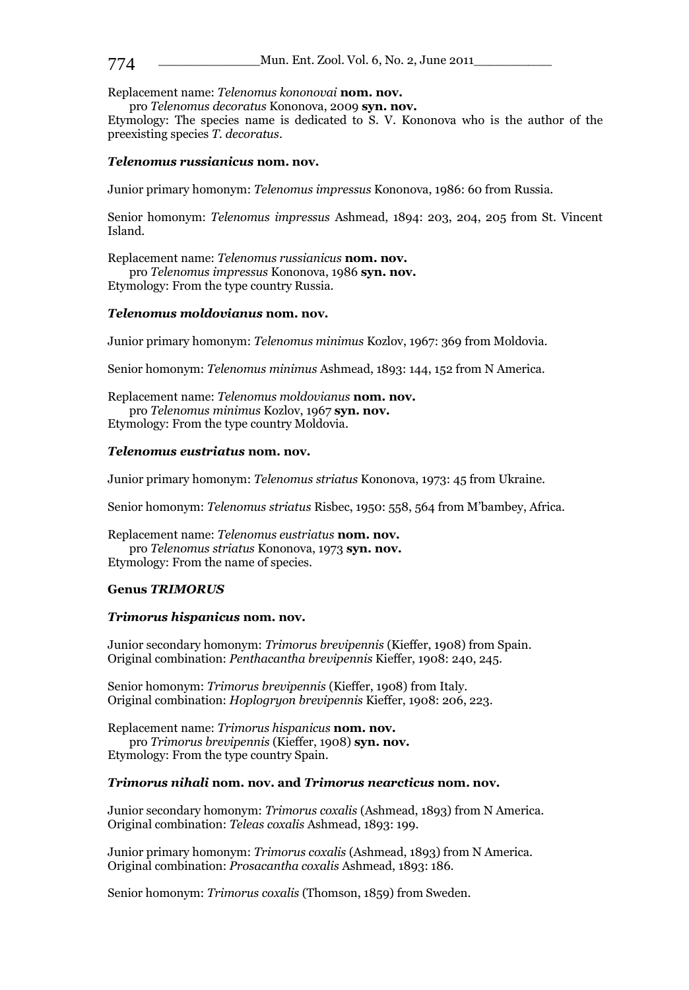Replacement name: *[Telenomus](http://hol.osu.edu/index.html?id=461) kononovai* **nom. nov.**

pro *[Telenomus](http://hol.osu.edu/index.html?id=461) decoratus* Kononova, 2009 **syn. nov.**

Etymology: The species name is dedicated to S. V. Kononova who is the author of the preexisting species *T. decoratus*.

### *[Telenomus](http://hol.osu.edu/index.html?id=461) russianicus* **nom. nov.**

Junior primary homonym: *[Telenomus](http://hol.osu.edu/index.html?id=461) impressus* Kononova, 1986: 60 from Russia.

Senior homonym: *[Telenomus](http://hol.osu.edu/index.html?id=461) impressus* Ashmead, 1894: 203, 204, 205 from St. Vincent Island.

Replacement name: *[Telenomus](http://hol.osu.edu/index.html?id=461) russianicus* **nom. nov.** pro *[Telenomus](http://hol.osu.edu/index.html?id=461) impressus* Kononova, 1986 **syn. nov.** Etymology: From the type country Russia.

#### *[Telenomus](http://hol.osu.edu/index.html?id=461) moldovianus* **nom. nov.**

Junior primary homonym: *[Telenomus](http://hol.osu.edu/index.html?id=461) minimus* Kozlov, 1967: 369 from Moldovia.

Senior homonym: *[Telenomus](http://hol.osu.edu/index.html?id=461) minimus* Ashmead, 1893: 144, 152 from N America.

Replacement name: *[Telenomus](http://hol.osu.edu/index.html?id=461) moldovianus* **nom. nov.** pro *[Telenomus](http://hol.osu.edu/index.html?id=461) minimus* Kozlov, 1967 **syn. nov.** Etymology: From the type country Moldovia.

### *[Telenomus](http://hol.osu.edu/index.html?id=461) eustriatus* **nom. nov.**

Junior primary homonym: *[Telenomus](http://hol.osu.edu/index.html?id=461) striatus* Kononova, 1973: 45 from Ukraine.

Senior homonym: *[Telenomus](http://hol.osu.edu/index.html?id=461) striatus* Risbec, 1950: 558, 564 from M'bambey, Africa.

Replacement name: *[Telenomus](http://hol.osu.edu/index.html?id=461) eustriatus* **nom. nov.** pro *[Telenomus](http://hol.osu.edu/index.html?id=461) striatus* Kononova, 1973 **syn. nov.** Etymology: From the name of species.

#### **Genus** *[TRIMORUS](http://hol.osu.edu/index.html?id=461)*

#### *[Trimorus](http://hol.osu.edu/index.html?id=461) hispanicus* **nom. nov.**

Junior secondary homonym: *[Trimorus](http://hol.osu.edu/index.html?id=461) brevipennis* (Kieffer, 1908) from Spain. Original combination: *[Penthacantha](http://hol.osu.edu/index.html?id=461) brevipennis* Kieffer, 1908: 240, 245.

Senior homonym: *[Trimorus](http://hol.osu.edu/index.html?id=461) brevipennis* (Kieffer, 1908) from Italy. Original combination: *[Hoplogryon](http://hol.osu.edu/index.html?id=461) brevipennis* Kieffer, 1908: 206, 223.

Replacement name: *[Trimorus](http://hol.osu.edu/index.html?id=461) hispanicus* **nom. nov.** pro *[Trimorus](http://hol.osu.edu/index.html?id=461) brevipennis* (Kieffer, 1908) **syn. nov.** Etymology: From the type country Spain.

#### *[Trimorus](http://hol.osu.edu/index.html?id=461) nihali* **nom. nov. and** *[Trimorus](http://hol.osu.edu/index.html?id=461) nearcticus* **nom. nov.**

Junior secondary homonym: *[Trimorus](http://hol.osu.edu/index.html?id=461) coxalis* (Ashmead, 1893) from N America. Original combination: *[Teleas coxalis](http://hol.osu.edu/index.html?id=461)* Ashmead, 1893: 199.

Junior primary homonym: *[Trimorus](http://hol.osu.edu/index.html?id=461) coxalis* (Ashmead, 1893) from N America. Original combination: *[Prosacantha coxalis](http://hol.osu.edu/index.html?id=461)* Ashmead, 1893: 186.

Senior homonym: *[Trimorus](http://hol.osu.edu/index.html?id=461) coxalis* (Thomson, 1859) from Sweden.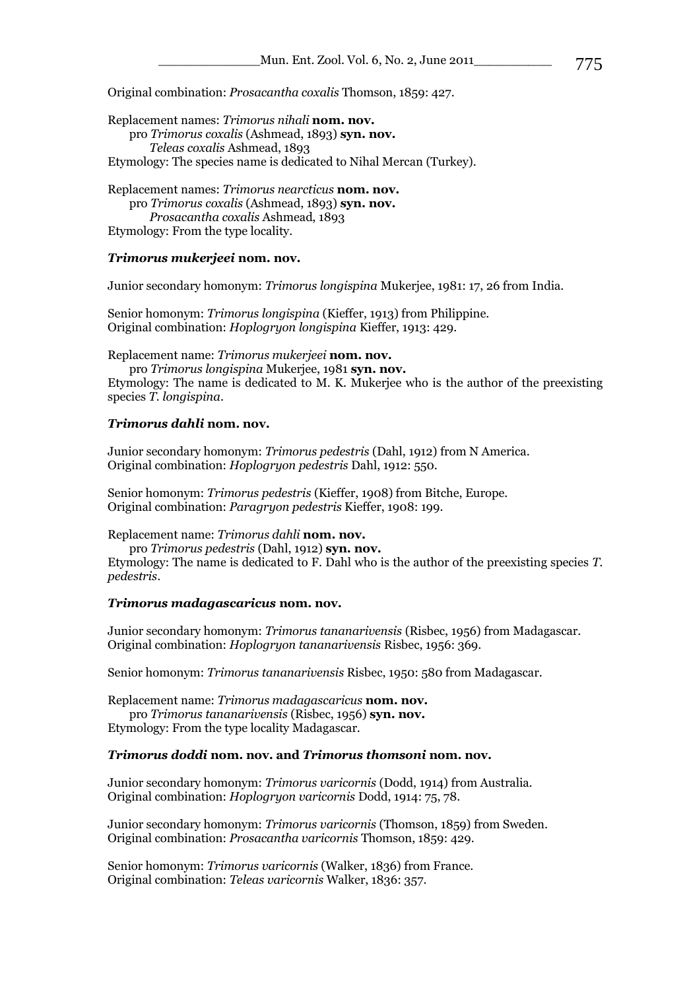Original combination: *[Prosacantha coxalis](http://hol.osu.edu/index.html?id=461)* Thomson, 1859: 427.

Replacement names: *[Trimorus](http://hol.osu.edu/index.html?id=461) nihali* **nom. nov.**  pro *[Trimorus](http://hol.osu.edu/index.html?id=461) coxalis* (Ashmead, 1893) **syn. nov.**  *[Teleas coxalis](http://hol.osu.edu/index.html?id=461)* Ashmead, 1893 Etymology: The species name is dedicated to Nihal Mercan (Turkey).

Replacement names: *[Trimorus](http://hol.osu.edu/index.html?id=461) nearcticus* **nom. nov.** pro *[Trimorus](http://hol.osu.edu/index.html?id=461) coxalis* (Ashmead, 1893) **syn. nov.**  *[Prosacantha coxalis](http://hol.osu.edu/index.html?id=461)* Ashmead, 1893 Etymology: From the type locality.

#### *Trimorus mukerjeei* **nom. nov.**

Junior secondary homonym: *Trimorus longispina* Mukerjee, 1981: 17, 26 from India.

Senior homonym: *Trimorus longispina* (Kieffer, 1913) from Philippine. Original combination: *Hoplogryon longispina* Kieffer, 1913: 429.

Replacement name: *Trimorus mukerjeei* **nom. nov.** pro *Trimorus longispina* Mukerjee, 1981 **syn. nov.**

Etymology: The name is dedicated to M. K. Mukerjee who is the author of the preexisting species *T. longispina*.

### *Trimorus dahli* **nom. nov.**

Junior secondary homonym: *Trimorus pedestris* (Dahl, 1912) from N America. Original combination: *Hoplogryon pedestris* Dahl, 1912: 550.

Senior homonym: *Trimorus pedestris* (Kieffer, 1908) from Bitche, Europe. Original combination: *Paragryon pedestris* Kieffer, 1908: 199.

Replacement name: *Trimorus dahli* **nom. nov.**

pro *Trimorus pedestris* (Dahl, 1912) **syn. nov.** Etymology: The name is dedicated to F. Dahl who is the author of the preexisting species *T. pedestris*.

#### *Trimorus madagascaricus* **nom. nov.**

Junior secondary homonym: *Trimorus tananarivensis* (Risbec, 1956) from Madagascar. Original combination: *Hoplogryon tananarivensis* Risbec, 1956: 369.

Senior homonym: *Trimorus tananarivensis* Risbec, 1950: 580 from Madagascar.

Replacement name: *Trimorus madagascaricus* **nom. nov.** pro *Trimorus tananarivensis* (Risbec, 1956) **syn. nov.** Etymology: From the type locality Madagascar.

#### *Trimorus doddi* **nom. nov. and** *Trimorus thomsoni* **nom. nov.**

Junior secondary homonym: *Trimorus varicornis* (Dodd, 1914) from Australia. Original combination: *Hoplogryon varicornis* Dodd, 1914: 75, 78.

Junior secondary homonym: *Trimorus varicornis* (Thomson, 1859) from Sweden. Original combination: *Prosacantha varicornis* Thomson, 1859: 429.

Senior homonym: *Trimorus varicornis* (Walker, 1836) from France. Original combination: *Teleas varicornis* Walker, 1836: 357.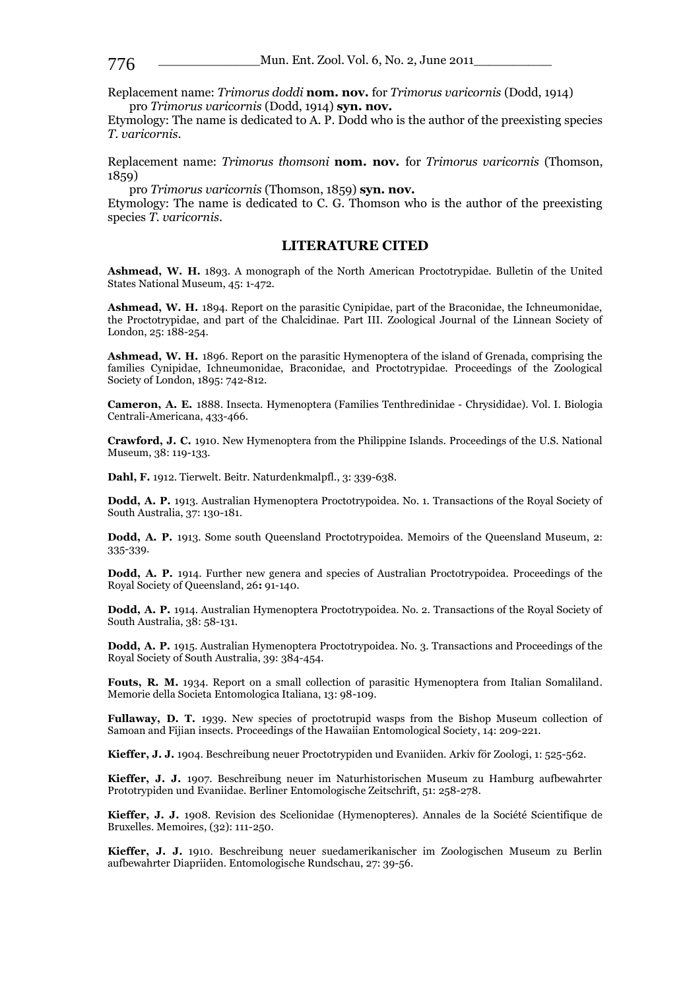\_\_\_\_\_\_\_\_\_\_\_\_\_Mun. Ent. Zool. Vol. 6, No. 2, June 2011\_\_\_\_\_\_\_\_\_\_ 776

Replacement name: *Trimorus doddi* **nom. nov.** for *Trimorus varicornis* (Dodd, 1914) pro *Trimorus varicornis* (Dodd, 1914) **syn. nov.**

Etymology: The name is dedicated to A. P. Dodd who is the author of the preexisting species *T. varicornis*.

Replacement name: *Trimorus thomsoni* **nom. nov.** for *Trimorus varicornis* (Thomson, 1859)

pro *Trimorus varicornis* (Thomson, 1859) **syn. nov.**

Etymology: The name is dedicated to C. G. Thomson who is the author of the preexisting species *T. varicornis*.

# **LITERATURE CITED**

**Ashmead, W. H.** 1893. A monograph of the North American Proctotrypidae. Bulletin of the United States National Museum, 45: 1-472.

**Ashmead, W. H.** 1894. Report on the parasitic Cynipidae, part of the Braconidae, the Ichneumonidae, the Proctotrypidae, and part of the Chalcidinae. Part III. Zoological Journal of the Linnean Society of London, 25: 188-254.

**Ashmead, W. H.** 1896. Report on the parasitic Hymenoptera of the island of Grenada, comprising the families Cynipidae, Ichneumonidae, Braconidae, and Proctotrypidae. Proceedings of the Zoological Society of London, 1895: 742-812.

**Cameron, A. E.** 1888. Insecta. Hymenoptera (Families Tenthredinidae - Chrysididae). Vol. I. Biologia Centrali-Americana, 433-466.

**Crawford, J. C.** 1910. New Hymenoptera from the Philippine Islands. Proceedings of the U.S. National Museum, 38: 119-133.

**Dahl, F.** 1912. Tierwelt. Beitr. Naturdenkmalpfl., 3: 339-638.

**Dodd, A. P.** 1913. Australian Hymenoptera Proctotrypoidea. No. 1. Transactions of the Royal Society of South Australia, 37: 130-181.

**Dodd, A. P.** 1913. Some south Queensland Proctotrypoidea. Memoirs of the Queensland Museum, 2: 335-339.

**Dodd, A. P.** 1914. Further new genera and species of Australian Proctotrypoidea. Proceedings of the Royal Society of Queensland, 26**:** 91-140.

**Dodd, A. P.** 1914. Australian Hymenoptera Proctotrypoidea. No. 2. Transactions of the Royal Society of South Australia, 38: 58-131.

**Dodd, A. P.** 1915. Australian Hymenoptera Proctotrypoidea. No. 3. Transactions and Proceedings of the Royal Society of South Australia, 39: 384-454.

Fouts, R. M. 1934. Report on a small collection of parasitic Hymenoptera from Italian Somaliland. Memorie della Societa Entomologica Italiana, 13: 98-109.

**Fullaway, D. T.** 1939. New species of proctotrupid wasps from the Bishop Museum collection of Samoan and Fijian insects. Proceedings of the Hawaiian Entomological Society, 14: 209-221.

**Kieffer, J. J.** 1904. Beschreibung neuer Proctotrypiden und Evaniiden. Arkiv för Zoologi, 1: 525-562.

**Kieffer, J. J.** 1907. Beschreibung neuer im Naturhistorischen Museum zu Hamburg aufbewahrter Prototrypiden und Evaniidae. Berliner Entomologische Zeitschrift, 51: 258-278.

**Kieffer, J. J.** 1908. Revision des Scelionidae (Hymenopteres). Annales de la Société Scientifique de Bruxelles. Memoires, (32): 111-250.

**Kieffer, J. J.** 1910. Beschreibung neuer suedamerikanischer im Zoologischen Museum zu Berlin aufbewahrter Diapriiden. Entomologische Rundschau, 27: 39-56.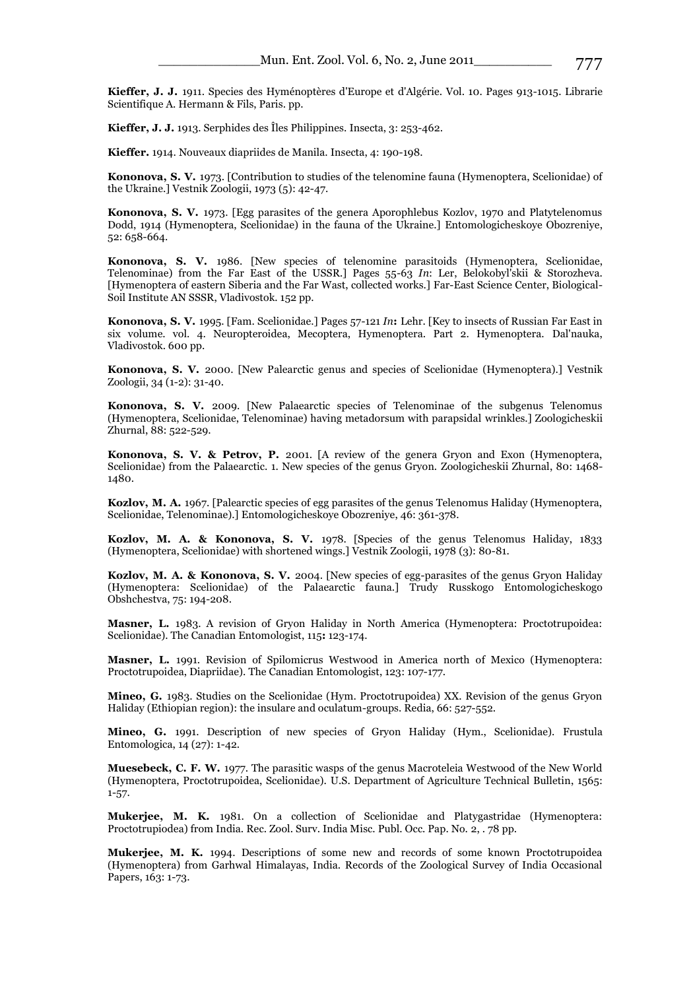**Kieffer, J. J.** 1911. Species des Hyménoptères d'Europe et d'Algérie. Vol. 10. Pages 913-1015. Librarie Scientifique A. Hermann & Fils, Paris. pp.

**Kieffer, J. J.** 1913. Serphides des Îles Philippines. Insecta, 3: 253-462.

**Kieffer.** 1914. Nouveaux diapriides de Manila. Insecta, 4: 190-198.

**Kononova, S. V.** 1973. [Contribution to studies of the telenomine fauna (Hymenoptera, Scelionidae) of the Ukraine.] Vestnik Zoologii, 1973 (5): 42-47.

**Kononova, S. V.** 1973. [Egg parasites of the genera Aporophlebus Kozlov, 1970 and Platytelenomus Dodd, 1914 (Hymenoptera, Scelionidae) in the fauna of the Ukraine.] Entomologicheskoye Obozreniye, 52: 658-664.

**Kononova, S. V.** 1986. [New species of telenomine parasitoids (Hymenoptera, Scelionidae, Telenominae) from the Far East of the USSR.] Pages 55-63 *In*: Ler, Belokobyl'skii & Storozheva. [Hymenoptera of eastern Siberia and the Far Wast, collected works.] Far-East Science Center, Biological-Soil Institute AN SSSR, Vladivostok. 152 pp.

**Kononova, S. V.** 1995. [Fam. Scelionidae.] Pages 57-121 *In***:** Lehr. [Key to insects of Russian Far East in six volume. vol. 4. Neuropteroidea, Mecoptera, Hymenoptera. Part 2. Hymenoptera. Dal'nauka, Vladivostok. 600 pp.

**Kononova, S. V.** 2000. [New Palearctic genus and species of Scelionidae (Hymenoptera).] Vestnik Zoologii, 34 (1-2): 31-40.

**Kononova, S. V.** 2009. [New Palaearctic species of Telenominae of the subgenus Telenomus (Hymenoptera, Scelionidae, Telenominae) having metadorsum with parapsidal wrinkles.] Zoologicheskii Zhurnal, 88: 522-529.

**Kononova, S. V. & Petrov, P.** 2001. [A review of the genera Gryon and Exon (Hymenoptera, Scelionidae) from the Palaearctic. 1. New species of the genus Gryon. Zoologicheskii Zhurnal, 80: 1468- 1480.

**Kozlov, M. A.** 1967. [Palearctic species of egg parasites of the genus Telenomus Haliday (Hymenoptera, Scelionidae, Telenominae).] Entomologicheskoye Obozreniye, 46: 361-378.

**Kozlov, M. A. & Kononova, S. V.** 1978. [Species of the genus Telenomus Haliday, 1833 (Hymenoptera, Scelionidae) with shortened wings.] Vestnik Zoologii, 1978 (3): 80-81.

**Kozlov, M. A. & Kononova, S. V.** 2004. [New species of egg-parasites of the genus Gryon Haliday (Hymenoptera: Scelionidae) of the Palaearctic fauna.] Trudy Russkogo Entomologicheskogo Obshchestva, 75: 194-208.

**Masner, L.** 1983. A revision of Gryon Haliday in North America (Hymenoptera: Proctotrupoidea: Scelionidae). The Canadian Entomologist, 115**:** 123-174.

**Masner, L.** 1991. Revision of Spilomicrus Westwood in America north of Mexico (Hymenoptera: Proctotrupoidea, Diapriidae). The Canadian Entomologist, 123: 107-177.

**Mineo, G.** 1983. Studies on the Scelionidae (Hym. Proctotrupoidea) XX. Revision of the genus Gryon Haliday (Ethiopian region): the insulare and oculatum-groups. Redia, 66: 527-552.

**Mineo, G.** 1991. Description of new species of Gryon Haliday (Hym., Scelionidae). Frustula Entomologica, 14 (27): 1-42.

**Muesebeck, C. F. W.** 1977. The parasitic wasps of the genus Macroteleia Westwood of the New World (Hymenoptera, Proctotrupoidea, Scelionidae). U.S. Department of Agriculture Technical Bulletin, 1565: 1-57.

**Mukerjee, M. K.** 1981. On a collection of Scelionidae and Platygastridae (Hymenoptera: Proctotrupiodea) from India. Rec. Zool. Surv. India Misc. Publ. Occ. Pap. No. 2, . 78 pp.

**Mukerjee, M. K.** 1994. Descriptions of some new and records of some known Proctotrupoidea (Hymenoptera) from Garhwal Himalayas, India. Records of the Zoological Survey of India Occasional Papers, 163: 1-73.